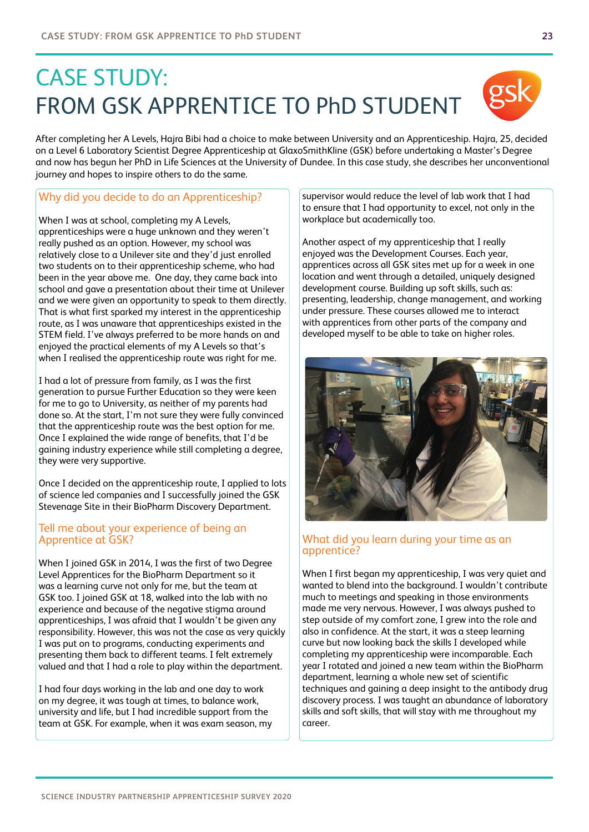# CASE STUDY: FROM GSK APPRENTICE TO PhD STUDENT

After completing her A Levels, Hajra Bibi had a choice to make between University and an Apprenticeship. Hajra, 25, decided on a Level 6 Laboratory Scientist Degree Apprenticeship at GlaxoSmithKline (GSK) before undertaking a Master's Degree and now has begun her PhD in Life Sciences at the University of Dundee. In this case study, she describes her unconventional journey and hopes to inspire others to do the same.

# Why did you decide to do an Apprenticeship?

When I was at school, completing my A Levels, apprenticeships were a huge unknown and they weren't really pushed as an option. However, my school was relatively close to a Unilever site and they'd just enrolled two students on to their apprenticeship scheme, who had been in the year above me. One day, they came back into school and gave a presentation about their time at Unilever and we were given an opportunity to speak to them directly. That is what first sparked my interest in the apprenticeship route, as I was unaware that apprenticeships existed in the STEM field. I've always preferred to be more hands on and enjoyed the practical elements of my A Levels so that's when I realised the apprenticeship route was right for me.

I had a lot of pressure from family, as I was the first generation to pursue Further Education so they were keen for me to go to University, as neither of my parents had done so. At the start, I'm not sure they were fully convinced that the apprenticeship route was the best option for me. Once I explained the wide range of benefits, that I'd be gaining industry experience while still completing a degree, they were very supportive.

Once I decided on the apprenticeship route, I applied to lots of science led companies and I successfully joined the GSK Stevenage Site in their BioPharm Discovery Department.

## Tell me about your experience of being an Apprentice at GSK?

When I joined GSK in 2014, I was the first of two Degree Level Apprentices for the BioPharm Department so it was a learning curve not only for me, but the team at GSK too. I joined GSK at 18, walked into the lab with no experience and because of the negative stigma around apprenticeships, I was afraid that I wouldn't be given any responsibility. However, this was not the case as very quickly I was put on to programs, conducting experiments and presenting them back to different teams. I felt extremely valued and that I had a role to play within the department.

I had four days working in the lab and one day to work on my degree, it was tough at times, to balance work, university and life, but I had incredible support from the team at GSK. For example, when it was exam season, my supervisor would reduce the level of lab work that I had to ensure that I had opportunity to excel, not only in the workplace but academically too.

Another aspect of my apprenticeship that I really enjoyed was the Development Courses. Each year, apprentices across all GSK sites met up for a week in one location and went through a detailed, uniquely designed development course. Building up soft skills, such as: presenting, leadership, change management, and working under pressure. These courses allowed me to interact with apprentices from other parts of the company and developed myself to be able to take on higher roles.



When I first began my apprenticeship, I was very quiet and wanted to blend into the background. I wouldn't contribute much to meetings and speaking in those environments made me very nervous. However, I was always pushed to step outside of my comfort zone, I grew into the role and also in confidence. At the start, it was a steep learning curve but now looking back the skills I developed while completing my apprenticeship were incomparable. Each year I rotated and joined a new team within the BioPharm department, learning a whole new set of scientific techniques and gaining a deep insight to the antibody drug discovery process. I was taught an abundance of laboratory skills and soft skills, that will stay with me throughout my career.



gsk